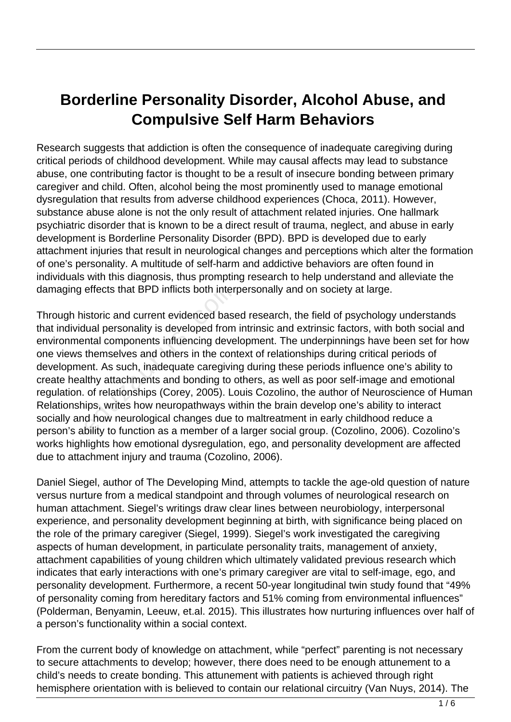## **Borderline Personality Disorder, Alcohol Abuse, and Compulsive Self Harm Behaviors**

Research suggests that addiction is often the consequence of inadequate caregiving during critical periods of childhood development. While may causal affects may lead to substance abuse, one contributing factor is thought to be a result of insecure bonding between primary caregiver and child. Often, alcohol being the most prominently used to manage emotional dysregulation that results from adverse childhood experiences (Choca, 2011). However, substance abuse alone is not the only result of attachment related injuries. One hallmark psychiatric disorder that is known to be a direct result of trauma, neglect, and abuse in early development is Borderline Personality Disorder (BPD). BPD is developed due to early attachment injuries that result in neurological changes and perceptions which alter the formation of one's personality. A multitude of self-harm and addictive behaviors are often found in individuals with this diagnosis, thus prompting research to help understand and alleviate the damaging effects that BPD inflicts both interpersonally and on society at large.

Through historic and current evidenced based research, the field of psychology understands that individual personality is developed from intrinsic and extrinsic factors, with both social and environmental components influencing development. The underpinnings have been set for how one views themselves and others in the context of relationships during critical periods of development. As such, inadequate caregiving during these periods influence one's ability to create healthy attachments and bonding to others, as well as poor self-image and emotional regulation. of relationships (Corey, 2005). Louis Cozolino, the author of Neuroscience of Human Relationships, writes how neuropathways within the brain develop one's ability to interact socially and how neurological changes due to maltreatment in early childhood reduce a person's ability to function as a member of a larger social group. (Cozolino, 2006). Cozolino's works highlights how emotional dysregulation, ego, and personality development are affected due to attachment injury and trauma (Cozolino, 2006). effects that BPD inflicts both inter<br>istoric and current evidenced base<br>lual personality is developed from<br>ntal components influencing deve<br>themselves and others in the con-<br>ent. As such, inadequate caregivin<br>lthy attachme

Daniel Siegel, author of The Developing Mind, attempts to tackle the age-old question of nature versus nurture from a medical standpoint and through volumes of neurological research on human attachment. Siegel's writings draw clear lines between neurobiology, interpersonal experience, and personality development beginning at birth, with significance being placed on the role of the primary caregiver (Siegel, 1999). Siegel's work investigated the caregiving aspects of human development, in particulate personality traits, management of anxiety, attachment capabilities of young children which ultimately validated previous research which indicates that early interactions with one's primary caregiver are vital to self-image, ego, and personality development. Furthermore, a recent 50-year longitudinal twin study found that "49% of personality coming from hereditary factors and 51% coming from environmental influences" (Polderman, Benyamin, Leeuw, et.al. 2015). This illustrates how nurturing influences over half of a person's functionality within a social context.

From the current body of knowledge on attachment, while "perfect" parenting is not necessary to secure attachments to develop; however, there does need to be enough attunement to a child's needs to create bonding. This attunement with patients is achieved through right hemisphere orientation with is believed to contain our relational circuitry (Van Nuys, 2014). The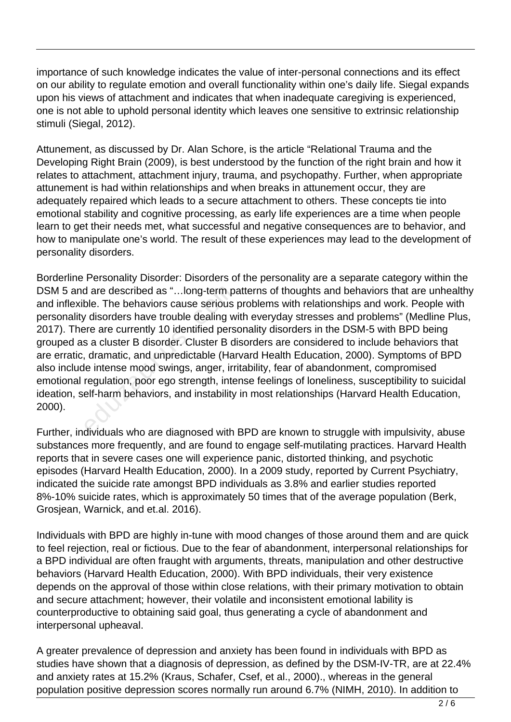importance of such knowledge indicates the value of inter-personal connections and its effect on our ability to regulate emotion and overall functionality within one's daily life. Siegal expands upon his views of attachment and indicates that when inadequate caregiving is experienced, one is not able to uphold personal identity which leaves one sensitive to extrinsic relationship stimuli (Siegal, 2012).

Attunement, as discussed by Dr. Alan Schore, is the article "Relational Trauma and the Developing Right Brain (2009), is best understood by the function of the right brain and how it relates to attachment, attachment injury, trauma, and psychopathy. Further, when appropriate attunement is had within relationships and when breaks in attunement occur, they are adequately repaired which leads to a secure attachment to others. These concepts tie into emotional stability and cognitive processing, as early life experiences are a time when people learn to get their needs met, what successful and negative consequences are to behavior, and how to manipulate one's world. The result of these experiences may lead to the development of personality disorders.

Borderline Personality Disorder: Disorders of the personality are a separate category within the DSM 5 and are described as "…long-term patterns of thoughts and behaviors that are unhealthy and inflexible. The behaviors cause serious problems with relationships and work. People with personality disorders have trouble dealing with everyday stresses and problems" (Medline Plus, 2017). There are currently 10 identified personality disorders in the DSM-5 with BPD being grouped as a cluster B disorder. Cluster B disorders are considered to include behaviors that are erratic, dramatic, and unpredictable (Harvard Health Education, 2000). Symptoms of BPD also include intense mood swings, anger, irritability, fear of abandonment, compromised emotional regulation, poor ego strength, intense feelings of loneliness, susceptibility to suicidal ideation, self-harm behaviors, and instability in most relationships (Harvard Health Education, 2000). d are described as "...long-term pa<br>ble. The behaviors cause serious<br>disorders have trouble dealing w<br>ere are currently 10 identified pers<br>s a cluster B disorder. Cluster B di<br>, dramatic, and unpredictable (Har<br>le intense

Further, individuals who are diagnosed with BPD are known to struggle with impulsivity, abuse substances more frequently, and are found to engage self-mutilating practices. Harvard Health reports that in severe cases one will experience panic, distorted thinking, and psychotic episodes (Harvard Health Education, 2000). In a 2009 study, reported by Current Psychiatry, indicated the suicide rate amongst BPD individuals as 3.8% and earlier studies reported 8%-10% suicide rates, which is approximately 50 times that of the average population (Berk, Grosjean, Warnick, and et.al. 2016).

Individuals with BPD are highly in-tune with mood changes of those around them and are quick to feel rejection, real or fictious. Due to the fear of abandonment, interpersonal relationships for a BPD individual are often fraught with arguments, threats, manipulation and other destructive behaviors (Harvard Health Education, 2000). With BPD individuals, their very existence depends on the approval of those within close relations, with their primary motivation to obtain and secure attachment; however, their volatile and inconsistent emotional lability is counterproductive to obtaining said goal, thus generating a cycle of abandonment and interpersonal upheaval.

A greater prevalence of depression and anxiety has been found in individuals with BPD as studies have shown that a diagnosis of depression, as defined by the DSM-IV-TR, are at 22.4% and anxiety rates at 15.2% (Kraus, Schafer, Csef, et al., 2000)., whereas in the general population positive depression scores normally run around 6.7% (NIMH, 2010). In addition to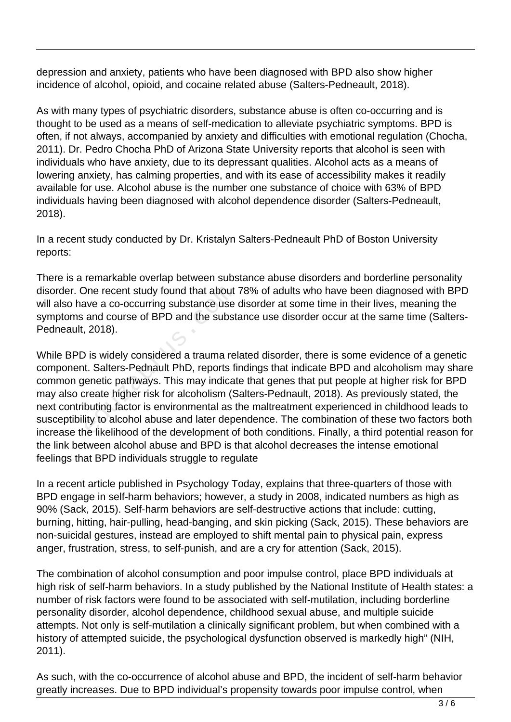depression and anxiety, patients who have been diagnosed with BPD also show higher incidence of alcohol, opioid, and cocaine related abuse (Salters-Pedneault, 2018).

As with many types of psychiatric disorders, substance abuse is often co-occurring and is thought to be used as a means of self-medication to alleviate psychiatric symptoms. BPD is often, if not always, accompanied by anxiety and difficulties with emotional regulation (Chocha, 2011). Dr. Pedro Chocha PhD of Arizona State University reports that alcohol is seen with individuals who have anxiety, due to its depressant qualities. Alcohol acts as a means of lowering anxiety, has calming properties, and with its ease of accessibility makes it readily available for use. Alcohol abuse is the number one substance of choice with 63% of BPD individuals having been diagnosed with alcohol dependence disorder (Salters-Pedneault, 2018).

In a recent study conducted by Dr. Kristalyn Salters-Pedneault PhD of Boston University reports:

There is a remarkable overlap between substance abuse disorders and borderline personality disorder. One recent study found that about 78% of adults who have been diagnosed with BPD will also have a co-occurring substance use disorder at some time in their lives, meaning the symptoms and course of BPD and the substance use disorder occur at the same time (Salters-Pedneault, 2018).

While BPD is widely considered a trauma related disorder, there is some evidence of a genetic component. Salters-Pednault PhD, reports findings that indicate BPD and alcoholism may share common genetic pathways. This may indicate that genes that put people at higher risk for BPD may also create higher risk for alcoholism (Salters-Pednault, 2018). As previously stated, the next contributing factor is environmental as the maltreatment experienced in childhood leads to susceptibility to alcohol abuse and later dependence. The combination of these two factors both increase the likelihood of the development of both conditions. Finally, a third potential reason for the link between alcohol abuse and BPD is that alcohol decreases the intense emotional feelings that BPD individuals struggle to regulate One recent study found that about<br>ave a co-occurring substance use<br>and course of BPD and the subst<br>, 2018).<br>Only 2018).<br>Only 2018 is widely considered a trauma re<br>t. Salters-Pednault PhD, reports fi<br>enetic pathways. This m

In a recent article published in Psychology Today, explains that three-quarters of those with BPD engage in self-harm behaviors; however, a study in 2008, indicated numbers as high as 90% (Sack, 2015). Self-harm behaviors are self-destructive actions that include: cutting, burning, hitting, hair-pulling, head-banging, and skin picking (Sack, 2015). These behaviors are non-suicidal gestures, instead are employed to shift mental pain to physical pain, express anger, frustration, stress, to self-punish, and are a cry for attention (Sack, 2015).

The combination of alcohol consumption and poor impulse control, place BPD individuals at high risk of self-harm behaviors. In a study published by the National Institute of Health states: a number of risk factors were found to be associated with self-mutilation, including borderline personality disorder, alcohol dependence, childhood sexual abuse, and multiple suicide attempts. Not only is self-mutilation a clinically significant problem, but when combined with a history of attempted suicide, the psychological dysfunction observed is markedly high" (NIH, 2011).

As such, with the co-occurrence of alcohol abuse and BPD, the incident of self-harm behavior greatly increases. Due to BPD individual's propensity towards poor impulse control, when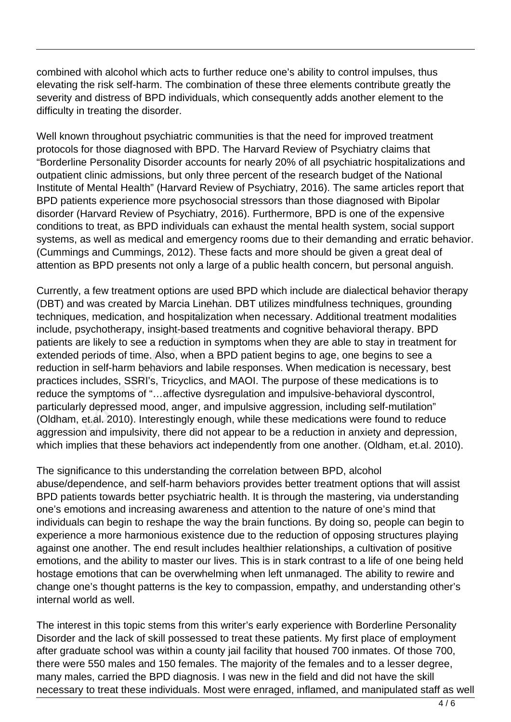combined with alcohol which acts to further reduce one's ability to control impulses, thus elevating the risk self-harm. The combination of these three elements contribute greatly the severity and distress of BPD individuals, which consequently adds another element to the difficulty in treating the disorder.

Well known throughout psychiatric communities is that the need for improved treatment protocols for those diagnosed with BPD. The Harvard Review of Psychiatry claims that "Borderline Personality Disorder accounts for nearly 20% of all psychiatric hospitalizations and outpatient clinic admissions, but only three percent of the research budget of the National Institute of Mental Health" (Harvard Review of Psychiatry, 2016). The same articles report that BPD patients experience more psychosocial stressors than those diagnosed with Bipolar disorder (Harvard Review of Psychiatry, 2016). Furthermore, BPD is one of the expensive conditions to treat, as BPD individuals can exhaust the mental health system, social support systems, as well as medical and emergency rooms due to their demanding and erratic behavior. (Cummings and Cummings, 2012). These facts and more should be given a great deal of attention as BPD presents not only a large of a public health concern, but personal anguish.

Currently, a few treatment options are used BPD which include are dialectical behavior therapy (DBT) and was created by Marcia Linehan. DBT utilizes mindfulness techniques, grounding techniques, medication, and hospitalization when necessary. Additional treatment modalities include, psychotherapy, insight-based treatments and cognitive behavioral therapy. BPD patients are likely to see a reduction in symptoms when they are able to stay in treatment for extended periods of time. Also, when a BPD patient begins to age, one begins to see a reduction in self-harm behaviors and labile responses. When medication is necessary, best practices includes, SSRI's, Tricyclics, and MAOI. The purpose of these medications is to reduce the symptoms of "…affective dysregulation and impulsive-behavioral dyscontrol, particularly depressed mood, anger, and impulsive aggression, including self-mutilation" (Oldham, et.al. 2010). Interestingly enough, while these medications were found to reduce aggression and impulsivity, there did not appear to be a reduction in anxiety and depression, which implies that these behaviors act independently from one another. (Oldham, et.al. 2010). a few treatment options are used<br>was created by Marcia Linehan. I<br>i, medication, and hospitalization<br>iychotherapy, insight-based treatn<br>e likely to see a reduction in symp<br>periods of time. Also, when a BPD<br>n self-harm beha

The significance to this understanding the correlation between BPD, alcohol abuse/dependence, and self-harm behaviors provides better treatment options that will assist BPD patients towards better psychiatric health. It is through the mastering, via understanding one's emotions and increasing awareness and attention to the nature of one's mind that individuals can begin to reshape the way the brain functions. By doing so, people can begin to experience a more harmonious existence due to the reduction of opposing structures playing against one another. The end result includes healthier relationships, a cultivation of positive emotions, and the ability to master our lives. This is in stark contrast to a life of one being held hostage emotions that can be overwhelming when left unmanaged. The ability to rewire and change one's thought patterns is the key to compassion, empathy, and understanding other's internal world as well.

The interest in this topic stems from this writer's early experience with Borderline Personality Disorder and the lack of skill possessed to treat these patients. My first place of employment after graduate school was within a county jail facility that housed 700 inmates. Of those 700, there were 550 males and 150 females. The majority of the females and to a lesser degree, many males, carried the BPD diagnosis. I was new in the field and did not have the skill necessary to treat these individuals. Most were enraged, inflamed, and manipulated staff as well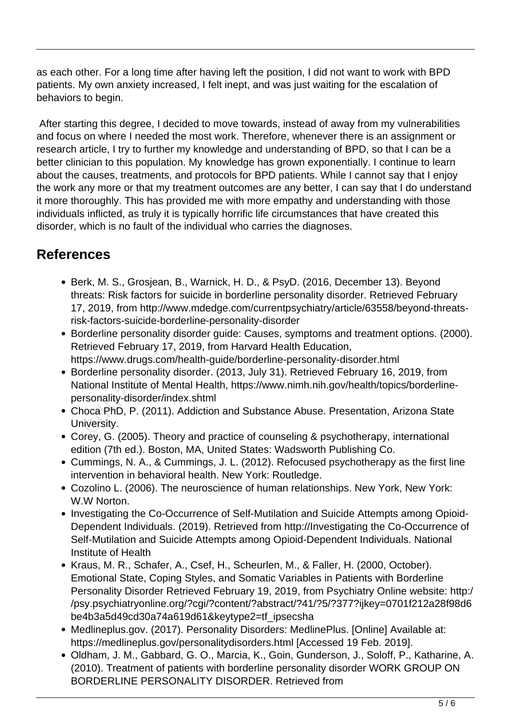as each other. For a long time after having left the position, I did not want to work with BPD patients. My own anxiety increased, I felt inept, and was just waiting for the escalation of behaviors to begin.

 After starting this degree, I decided to move towards, instead of away from my vulnerabilities and focus on where I needed the most work. Therefore, whenever there is an assignment or research article, I try to further my knowledge and understanding of BPD, so that I can be a better clinician to this population. My knowledge has grown exponentially. I continue to learn about the causes, treatments, and protocols for BPD patients. While I cannot say that I enjoy the work any more or that my treatment outcomes are any better, I can say that I do understand it more thoroughly. This has provided me with more empathy and understanding with those individuals inflicted, as truly it is typically horrific life circumstances that have created this disorder, which is no fault of the individual who carries the diagnoses.

## **References**

- Berk, M. S., Grosjean, B., Warnick, H. D., & PsyD. (2016, December 13). Beyond threats: Risk factors for suicide in borderline personality disorder. Retrieved February 17, 2019, from http://www.mdedge.com/currentpsychiatry/article/63558/beyond-threatsrisk-factors-suicide-borderline-personality-disorder eats: Risk factors for suicide in bo<br>2019, from http://www.mdedge.com<br>4-factors-suicide-borderline-persor<br>rderline personality disorder guide<br>trieved February 17, 2019, from H<br>2015://www.drugs.com/health-guide/<br>rderline pe
- Borderline personality disorder guide: Causes, symptoms and treatment options. (2000). Retrieved February 17, 2019, from Harvard Health Education, https://www.drugs.com/health-guide/borderline-personality-disorder.html
- Borderline personality disorder. (2013, July 31). Retrieved February 16, 2019, from National Institute of Mental Health, https://www.nimh.nih.gov/health/topics/borderlinepersonality-disorder/index.shtml
- Choca PhD, P. (2011). Addiction and Substance Abuse. Presentation, Arizona State University.
- Corey, G. (2005). Theory and practice of counseling & psychotherapy, international edition (7th ed.). Boston, MA, United States: Wadsworth Publishing Co.
- Cummings, N. A., & Cummings, J. L. (2012). Refocused psychotherapy as the first line intervention in behavioral health. New York: Routledge.
- Cozolino L. (2006). The neuroscience of human relationships. New York, New York: W.W Norton.
- Investigating the Co-Occurrence of Self-Mutilation and Suicide Attempts among Opioid-Dependent Individuals. (2019). Retrieved from http://Investigating the Co-Occurrence of Self-Mutilation and Suicide Attempts among Opioid-Dependent Individuals. National Institute of Health
- Kraus, M. R., Schafer, A., Csef, H., Scheurlen, M., & Faller, H. (2000, October). Emotional State, Coping Styles, and Somatic Variables in Patients with Borderline Personality Disorder Retrieved February 19, 2019, from Psychiatry Online website: http:/ /psy.psychiatryonline.org/?cgi/?content/?abstract/?41/?5/?377?ijkey=0701f212a28f98d6 be4b3a5d49cd30a74a619d61&keytype2=tf\_ipsecsha
- Medlineplus.gov. (2017). Personality Disorders: MedlinePlus. [Online] Available at: https://medlineplus.gov/personalitydisorders.html [Accessed 19 Feb. 2019].
- Oldham, J. M., Gabbard, G. O., Marcia, K., Goin, Gunderson, J., Soloff, P., Katharine, A. (2010). Treatment of patients with borderline personality disorder WORK GROUP ON BORDERLINE PERSONALITY DISORDER. Retrieved from